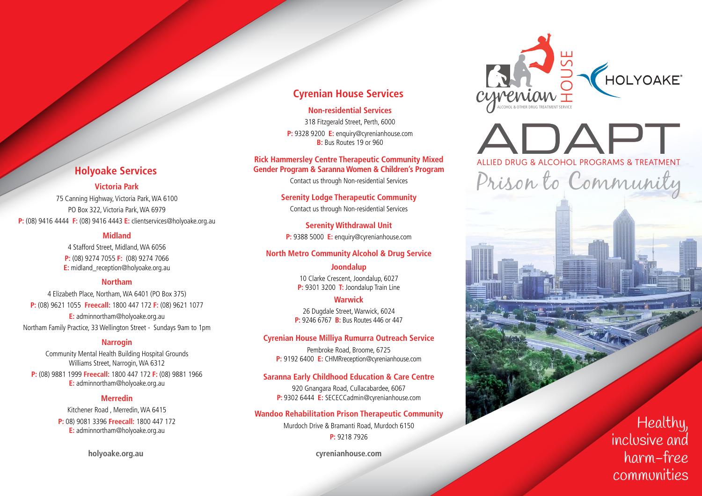## **Cyrenian House Services**

#### **Non-residential Services**

318 Fitzgerald Street, Perth, 6000 **P:** 9328 9200 **E:** enquiry@cyrenianhouse.com **B:** Bus Routes 19 or 960

#### **Rick Hammersley Centre Therapeutic Community Mixed Gender Program & Saranna Women & Children's Program**

Contact us through Non-residential Services

**Serenity Lodge Therapeutic Community** Contact us through Non-residential Services

**Serenity Withdrawal Unit P:** 9388 5000 **E:** enquiry@cyrenianhouse.com

### **North Metro Community Alcohol & Drug Service**

## **Joondalup** 10 Clarke Crescent, Joondalup, 6027

**P:** 9301 3200 **T:** Joondalup Train Line

## **Warwick**

26 Dugdale Street, Warwick, 6024 **P:** 9246 6767 **B:** Bus Routes 446 or 447

### **Cyrenian House Milliya Rumurra Outreach Service**

Pembroke Road, Broome, 6725 **P:** 9192 6400 **E:** CHMRreception@cyrenianhouse.com

### **Saranna Early Childhood Education & Care Centre**

920 Gnangara Road, Cullacabardee, 6067 **P:** 9302 6444 **E:** SECECCadmin@cyrenianhouse.com

### **Wandoo Rehabilitation Prison Therapeutic Community**

Murdoch Drive & Bramanti Road, Murdoch 6150 **P:** 9218 7926

**cyrenianhouse.com**



ADAPT Prison to Community Prison to Community THE CONCERT ON BOTHER DRUG TREATMENT SERVICE

> Healthy, inclusive and harm-free communities

# **Holyoake Services**

## **Victoria Park**

75 Canning Highway, Victoria Park, WA 6100 PO Box 322, Victoria Park, WA 6979 **P:** (08) 9416 4444 **F:** (08) 9416 4443 **E:** clientservices@holyoake.org.au

## **Midland**

4 Stafford Street, Midland, WA 6056 **P:** (08) 9274 7055 **F:** (08) 9274 7066 **E:** midland\_reception@holyoake.org.au

## **Northam**

4 Elizabeth Place, Northam, WA 6401 (PO Box 375) **P:** (08) 9621 1055 **Freecall:** 1800 447 172 **F:** (08) 9621 1077 **E:** adminnortham@holyoake.org.au Northam Family Practice, 33 Wellington Street - Sundays 9am to 1pm

## **Narrogin**

Community Mental Health Building Hospital Grounds Williams Street, Narrogin, WA 6312

**P:** (08) 9881 1999 **Freecall:** 1800 447 172 **F:** (08) 9881 1966 **E:** adminnortham@holyoake.org.au

### **Merredin**

Kitchener Road , Merredin, WA 6415 **P:** 08) 9081 3396 **Freecall:** 1800 447 172 **E:** adminnortham@holyoake.org.au

**holyoake.org.au**